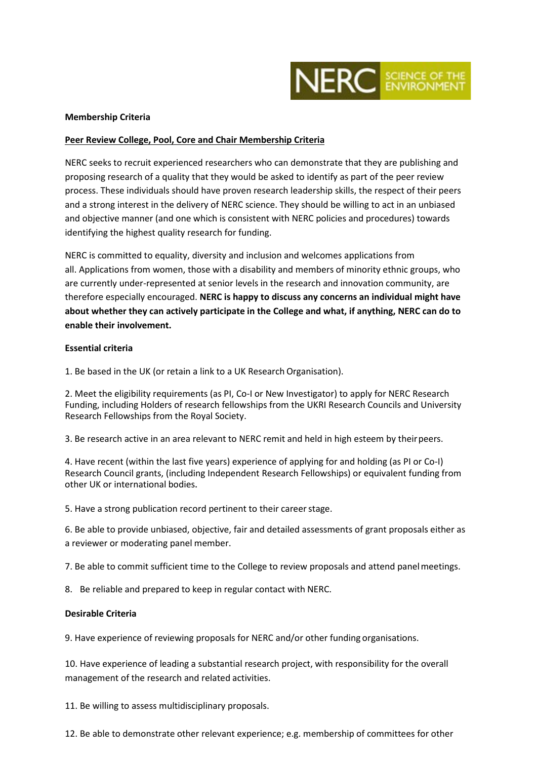

### **Membership Criteria**

### **Peer Review College, Pool, Core and Chair Membership Criteria**

NERC seeks to recruit experienced researchers who can demonstrate that they are publishing and proposing research of a quality that they would be asked to identify as part of the peer review process. These individuals should have proven research leadership skills, the respect of their peers and a strong interest in the delivery of NERC science. They should be willing to act in an unbiased and objective manner (and one which is consistent with NERC policies and procedures) towards identifying the highest quality research for funding.

NERC is committed to equality, diversity and inclusion and welcomes applications from all. Applications from women, those with a disability and members of minority ethnic groups, who are currently under-represented at senior levels in the research and innovation community, are therefore especially encouraged. **NERC is happy to discuss any concerns an individual might have about whether they can actively participate in the College and what, if anything, NERC can do to enable their involvement.**

#### **Essential criteria**

1. Be based in the UK (or retain a link to a UK Research Organisation).

2. Meet the eligibility requirements (as PI, Co-I or New Investigator) to apply for NERC Research Funding, including Holders of research fellowships from the UKRI Research Councils and University Research Fellowships from the Royal Society.

3. Be research active in an area relevant to NERC remit and held in high esteem by theirpeers.

4. Have recent (within the last five years) experience of applying for and holding (as PI or Co-I) Research Council grants, (including Independent Research Fellowships) or equivalent funding from other UK or international bodies.

5. Have a strong publication record pertinent to their career stage.

6. Be able to provide unbiased, objective, fair and detailed assessments of grant proposals either as a reviewer or moderating panel member.

7. Be able to commit sufficient time to the College to review proposals and attend panelmeetings.

8. Be reliable and prepared to keep in regular contact with NERC.

### **Desirable Criteria**

9. Have experience of reviewing proposals for NERC and/or other funding organisations.

10. Have experience of leading a substantial research project, with responsibility for the overall management of the research and related activities.

11. Be willing to assess multidisciplinary proposals.

12. Be able to demonstrate other relevant experience; e.g. membership of committees for other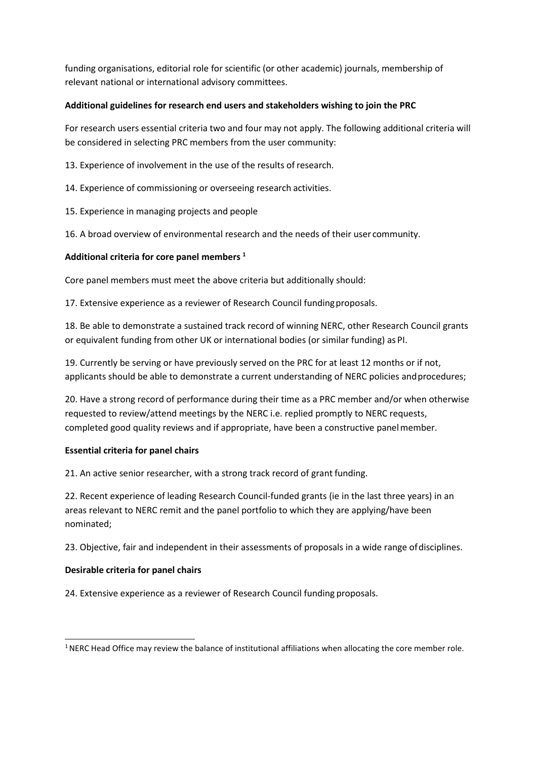funding organisations, editorial role for scientific (or other academic) journals, membership of relevant national or international advisory committees.

## **Additional guidelines for research end users and stakeholders wishing to join the PRC**

For research users essential criteria two and four may not apply. The following additional criteria will be considered in selecting PRC members from the user community:

13. Experience of involvement in the use of the results of research.

14. Experience of commissioning or overseeing research activities.

15. Experience in managing projects and people

16. A broad overview of environmental research and the needs of their user community.

# **Additional criteria for core panel members [1](#page-1-0)**

Core panel members must meet the above criteria but additionally should:

17. Extensive experience as a reviewer of Research Council fundingproposals.

18. Be able to demonstrate a sustained track record of winning NERC, other Research Council grants or equivalent funding from other UK or international bodies (or similar funding) as PI.

19. Currently be serving or have previously served on the PRC for at least 12 months or if not, applicants should be able to demonstrate a current understanding of NERC policies andprocedures;

20. Have a strong record of performance during their time as a PRC member and/or when otherwise requested to review/attend meetings by the NERC i.e. replied promptly to NERC requests, completed good quality reviews and if appropriate, have been a constructive panel member.

## **Essential criteria for panel chairs**

21. An active senior researcher, with a strong track record of grant funding.

22. Recent experience of leading Research Council-funded grants (ie in the last three years) in an areas relevant to NERC remit and the panel portfolio to which they are applying/have been nominated;

23. Objective, fair and independent in their assessments of proposals in a wide range ofdisciplines.

## **Desirable criteria for panel chairs**

24. Extensive experience as a reviewer of Research Council funding proposals.

<span id="page-1-0"></span> $1$  NERC Head Office may review the balance of institutional affiliations when allocating the core member role.